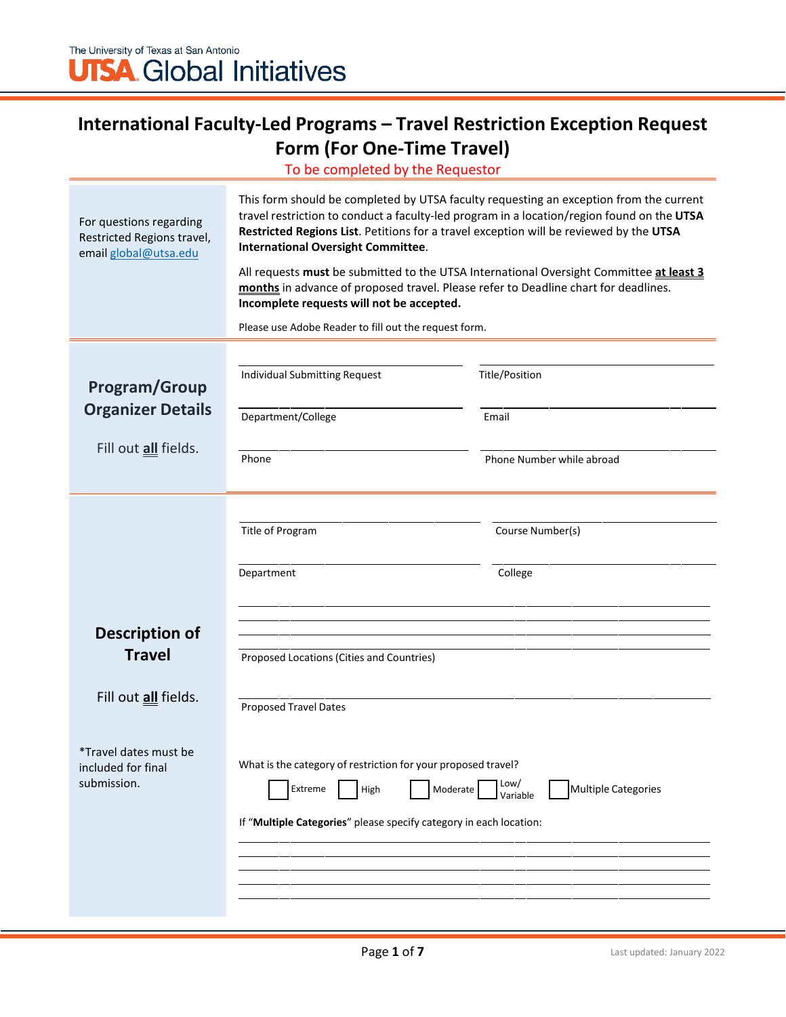## **International Faculty-Led Programs – Travel Restriction Exception Request Form (For One-Time Travel)**

To be completed by the Requestor

| For questions regarding<br>Restricted Regions travel,<br>email global@utsa.edu                                                      | This form should be completed by UTSA faculty requesting an exception from the current<br>travel restriction to conduct a faculty-led program in a location/region found on the UTSA<br>Restricted Regions List. Petitions for a travel exception will be reviewed by the UTSA<br><b>International Oversight Committee.</b><br>All requests must be submitted to the UTSA International Oversight Committee at least 3<br>months in advance of proposed travel. Please refer to Deadline chart for deadlines.<br>Incomplete requests will not be accepted.<br>Please use Adobe Reader to fill out the request form. |                                                                        |  |
|-------------------------------------------------------------------------------------------------------------------------------------|---------------------------------------------------------------------------------------------------------------------------------------------------------------------------------------------------------------------------------------------------------------------------------------------------------------------------------------------------------------------------------------------------------------------------------------------------------------------------------------------------------------------------------------------------------------------------------------------------------------------|------------------------------------------------------------------------|--|
| <b>Program/Group</b><br><b>Organizer Details</b><br>Fill out <i>all</i> fields.                                                     | Individual Submitting Request<br>Department/College<br>Phone                                                                                                                                                                                                                                                                                                                                                                                                                                                                                                                                                        | Title/Position<br>Email<br>Phone Number while abroad                   |  |
| <b>Description of</b><br><b>Travel</b><br>Fill out <i>all</i> fields.<br>*Travel dates must be<br>included for final<br>submission. | Title of Program<br>Department<br>Proposed Locations (Cities and Countries)<br><b>Proposed Travel Dates</b><br>What is the category of restriction for your proposed travel?<br>Moderate<br>Extreme<br>High<br>If "Multiple Categories" please specify category in each location:                                                                                                                                                                                                                                                                                                                                   | Course Number(s)<br>College<br>Low/<br>Multiple Categories<br>Variable |  |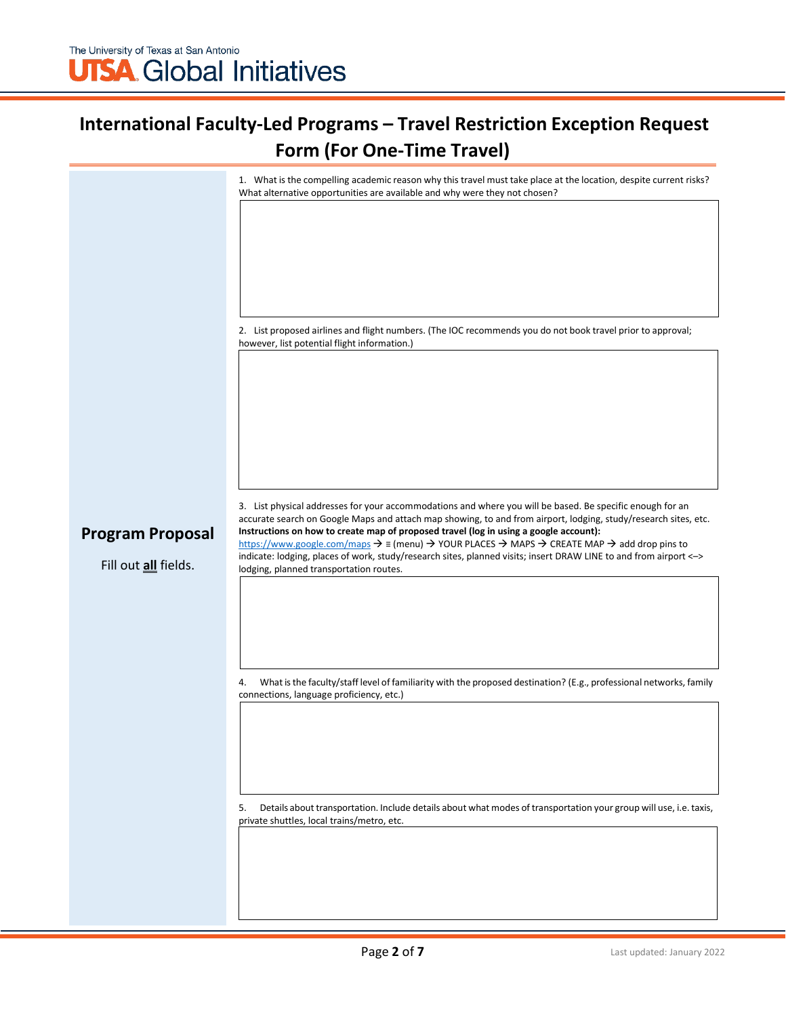## **International Faculty-Led Programs – Travel Restriction Exception Request Form (For One-Time Travel)**

|                         | 1. What is the compelling academic reason why this travel must take place at the location, despite current risks?<br>What alternative opportunities are available and why were they not chosen?                                                                                                                                |
|-------------------------|--------------------------------------------------------------------------------------------------------------------------------------------------------------------------------------------------------------------------------------------------------------------------------------------------------------------------------|
|                         |                                                                                                                                                                                                                                                                                                                                |
|                         |                                                                                                                                                                                                                                                                                                                                |
|                         |                                                                                                                                                                                                                                                                                                                                |
|                         |                                                                                                                                                                                                                                                                                                                                |
|                         | 2. List proposed airlines and flight numbers. (The IOC recommends you do not book travel prior to approval;<br>however, list potential flight information.)                                                                                                                                                                    |
|                         |                                                                                                                                                                                                                                                                                                                                |
|                         |                                                                                                                                                                                                                                                                                                                                |
|                         |                                                                                                                                                                                                                                                                                                                                |
|                         |                                                                                                                                                                                                                                                                                                                                |
|                         | 3. List physical addresses for your accommodations and where you will be based. Be specific enough for an                                                                                                                                                                                                                      |
| <b>Program Proposal</b> | accurate search on Google Maps and attach map showing, to and from airport, lodging, study/research sites, etc.<br>Instructions on how to create map of proposed travel (log in using a google account):                                                                                                                       |
| Fill out all fields.    | https://www.google.com/maps $\rightarrow$ $\equiv$ (menu) $\rightarrow$ YOUR PLACES $\rightarrow$ MAPS $\rightarrow$ CREATE MAP $\rightarrow$ add drop pins to<br>indicate: lodging, places of work, study/research sites, planned visits; insert DRAW LINE to and from airport <-><br>lodging, planned transportation routes. |
|                         |                                                                                                                                                                                                                                                                                                                                |
|                         |                                                                                                                                                                                                                                                                                                                                |
|                         |                                                                                                                                                                                                                                                                                                                                |
|                         | What is the faculty/staff level of familiarity with the proposed destination? (E.g., professional networks, family<br>4.<br>connections, language proficiency, etc.)                                                                                                                                                           |
|                         |                                                                                                                                                                                                                                                                                                                                |
|                         |                                                                                                                                                                                                                                                                                                                                |
|                         |                                                                                                                                                                                                                                                                                                                                |
|                         | Details about transportation. Include details about what modes of transportation your group will use, i.e. taxis,<br>5.<br>private shuttles, local trains/metro, etc.                                                                                                                                                          |
|                         |                                                                                                                                                                                                                                                                                                                                |
|                         |                                                                                                                                                                                                                                                                                                                                |
|                         |                                                                                                                                                                                                                                                                                                                                |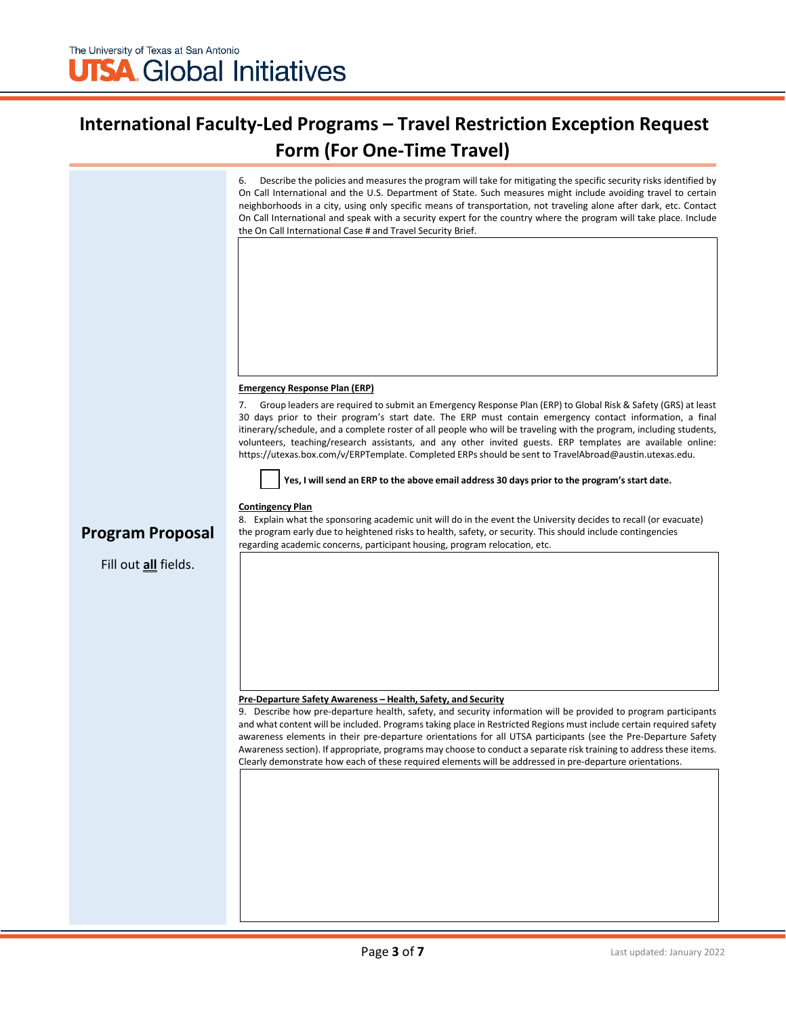## **International Faculty-Led Programs – Travel Restriction Exception Request Form (For One-Time Travel)**

6. Describe the policies and measures the program will take for mitigating the specific security risks identified by On Call International and the U.S. Department of State. Such measures might include avoiding travel to certain neighborhoods in a city, using only specific means of transportation, not traveling alone after dark, etc. Contact On Call International and speak with a security expert for the country where the program will take place. Include the On Call International Case # and Travel Security Brief.

#### **Emergency Response Plan (ERP)**

7. Group leaders are required to submit an Emergency Response Plan (ERP) to Global Risk & Safety (GRS) at least 30 days prior to their program's start date. The ERP must contain emergency contact information, a final itinerary/schedule, and a complete roster of all people who will be traveling with the program, including students, volunteers, teaching/research assistants, and any other invited guests. ERP templates are available online: https://utexas.box.com/v/ERPTemplate. Completed ERPsshould be sent to [TravelAbroad@austin.utexas.edu.](mailto:TravelAbroad@austin.utexas.edu)



#### **Contingency Plan**

#### **Program Proposal**

#### Fill out **all** fields.

8. Explain what the sponsoring academic unit will do in the event the University decides to recall (or evacuate) the program early due to heightened risks to health, safety, or security. This should include contingencies regarding academic concerns, participant housing, program relocation, etc.

#### **Pre-Departure Safety Awareness – Health, Safety, and Security**

9. Describe how pre-departure health, safety, and security information will be provided to program participants and what content will be included. Programstaking place in Restricted Regions must include certain required safety awareness elements in their pre-departure orientations for all UTSA participants (see the Pre-Departure Safety Awarenesssection). If appropriate, programs may choose to conduct a separate risk training to address these items. Clearly demonstrate how each of these required elements will be addressed in pre-departure orientations.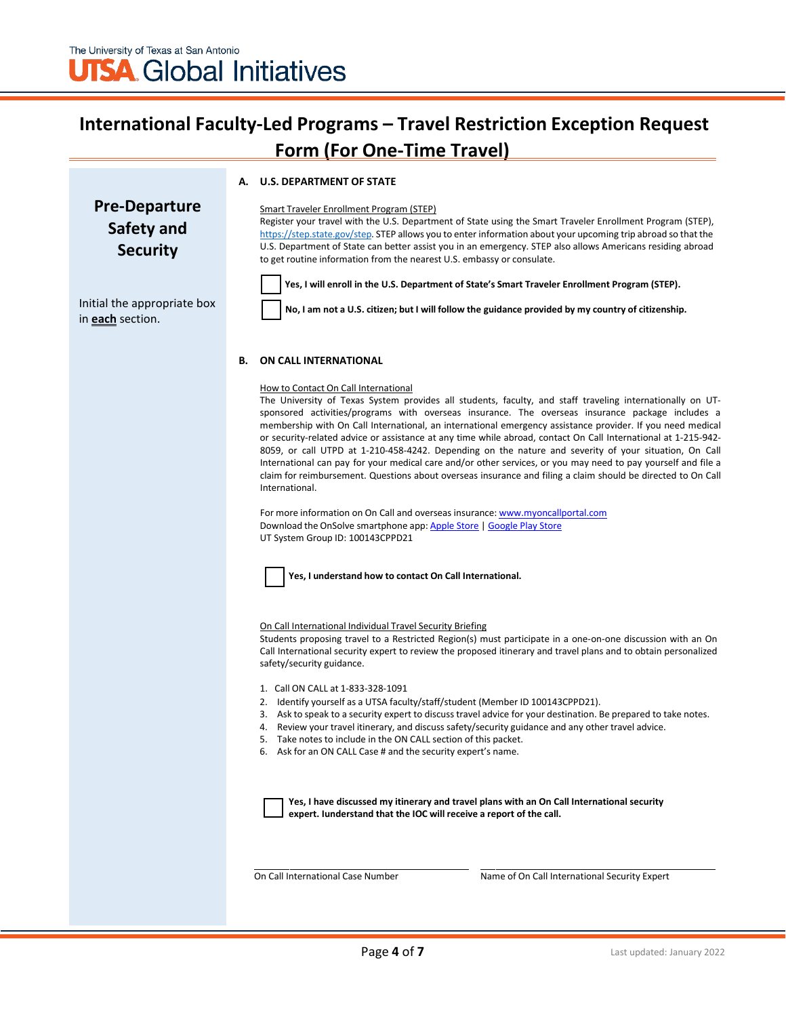## **International Faculty-Led Programs – Travel Restriction Exception Request Form (For One-Time Travel)**

#### **A. U.S. DEPARTMENT OF STATE**

**Pre-Departure Safety and Security**

Initial the appropriate box

in **each** section.

Smart Traveler Enrollment Program (STEP)

Register your travel with the U.S. Department of State using the Smart Traveler Enrollment Program (STEP), [https://step.state.gov/step.](https://step.state.gov/step) STEP allows you to enter information about your upcoming trip abroad so that the U.S. Department of State can better assist you in an emergency. STEP also allows Americans residing abroad to get routine information from the nearest U.S. embassy or consulate.



**Yes, I will enroll in the U.S. Department of State's Smart Traveler Enrollment Program (STEP).**

No, I am not a U.S. citizen; but I will follow the guidance provided by my country of citizenship.

#### **B. ON CALL INTERNATIONAL**

#### How to Contact On Call International

The University of Texas System provides all students, faculty, and staff traveling internationally on UTsponsored activities/programs with overseas insurance. The overseas insurance package includes a membership with On Call International, an international emergency assistance provider. If you need medical or security-related advice or assistance at any time while abroad, contact On Call International at 1-215-942- 8059, or call UTPD at 1-210-458-4242. Depending on the nature and severity of your situation, On Call International can pay for your medical care and/or other services, or you may need to pay yourself and file a claim for reimbursement. Questions about overseas insurance and filing a claim should be directed to On Call International.

For more information on On Call and overseas insurance: [www.myoncallportal.com](http://www.myoncallportal.com/) Download the OnSolve smartphone app: [Apple Store](https://apps.apple.com/us/app/onsolve/id1487868963) [| Google Play Store](https://play.google.com/store/apps/details?id=com.onsolve.alerting&hl=en_US&gl=US) UT System Group ID: 100143CPPD21



**Yes, I understand how to contact On Call International.**

#### On Call International Individual Travel Security Briefing

Students proposing travel to a Restricted Region(s) must participate in a one-on-one discussion with an On Call International security expert to review the proposed itinerary and travel plans and to obtain personalized safety/security guidance.

- 1. Call ON CALL at 1-833-328-1091
- 2. Identify yourself as a UTSA faculty/staff/student (Member ID 100143CPPD21).
- 3. Ask to speak to a security expert to discuss travel advice for your destination. Be prepared to take notes.
- 4. Review your travel itinerary, and discuss safety/security guidance and any other travel advice.
- 5. Take notes to include in the ON CALL section of this packet.
- 6. Ask for an ON CALL Case # and the security expert's name.

**Yes, I have discussed my itinerary and travel plans with an On Call International security expert. Iunderstand that the IOC will receive a report of the call.**

On Call International Case Number Name of On Call International Security Expert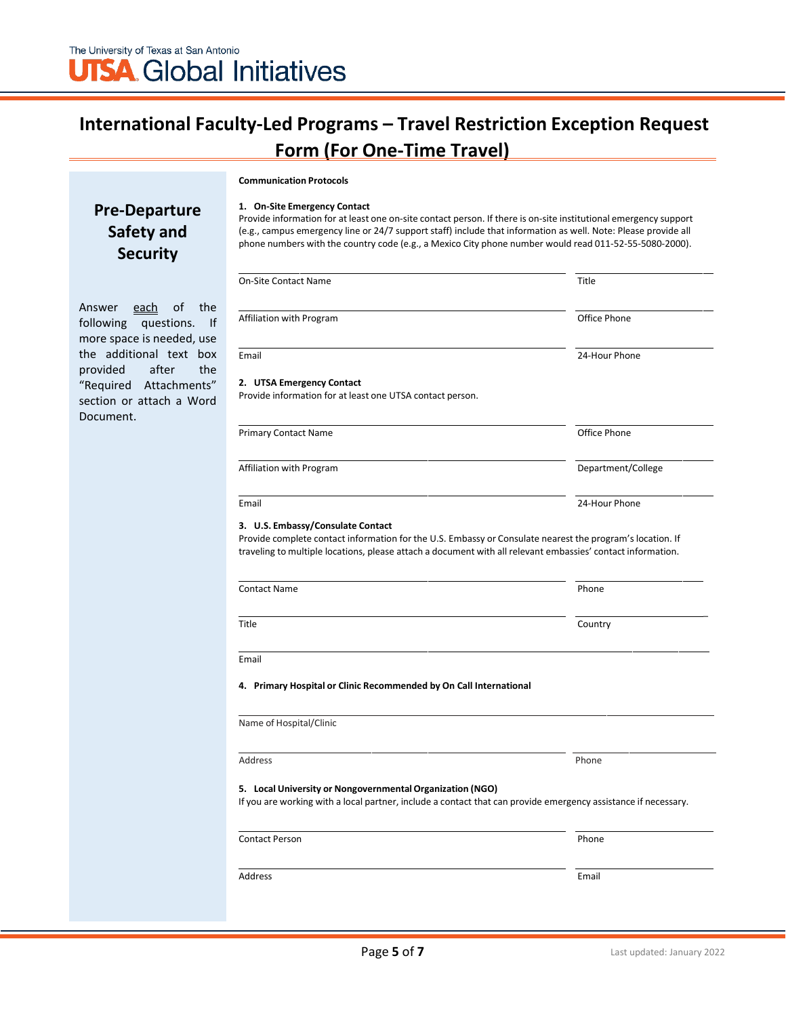## **International Faculty-Led Programs – Travel Restriction Exception Request Form (For One-Time Travel)**

# **Communication Protocols**

### **Pre-Departure Safety and Security**

Answer each of the following questions. If more space is needed, use the additional text box provided after the "Required Attachments" section or attach a Word Document.

| 1. On-Site Emergency Contact                                                                                     |
|------------------------------------------------------------------------------------------------------------------|
| Provide information for at least one on-site contact person. If there is on-site institutional emergency support |
| (e.g., campus emergency line or 24/7 support staff) include that information as well. Note: Please provide all   |
| phone numbers with the country code (e.g., a Mexico City phone number would read 011-52-55-5080-2000).           |

| <b>On-Site Contact Name</b>                                                                                                                                                                          | Title              |
|------------------------------------------------------------------------------------------------------------------------------------------------------------------------------------------------------|--------------------|
| Affiliation with Program                                                                                                                                                                             | Office Phone       |
| Email                                                                                                                                                                                                | 24-Hour Phone      |
| 2. UTSA Emergency Contact<br>Provide information for at least one UTSA contact person.                                                                                                               |                    |
| <b>Primary Contact Name</b>                                                                                                                                                                          | Office Phone       |
| Affiliation with Program                                                                                                                                                                             | Department/College |
| Email                                                                                                                                                                                                | 24-Hour Phone      |
| 3. U.S. Embassy/Consulate Contact<br>Provide complete contact information for the U.S. Embassy or Consulate nearest the program's location. If                                                       |                    |
|                                                                                                                                                                                                      |                    |
| traveling to multiple locations, please attach a document with all relevant embassies' contact information.<br><b>Contact Name</b>                                                                   | Phone              |
| Title                                                                                                                                                                                                | Country            |
| Email                                                                                                                                                                                                |                    |
| 4. Primary Hospital or Clinic Recommended by On Call International                                                                                                                                   |                    |
| Name of Hospital/Clinic                                                                                                                                                                              |                    |
| <b>Address</b>                                                                                                                                                                                       | Phone              |
|                                                                                                                                                                                                      |                    |
| 5. Local University or Nongovernmental Organization (NGO)<br>If you are working with a local partner, include a contact that can provide emergency assistance if necessary.<br><b>Contact Person</b> | Phone              |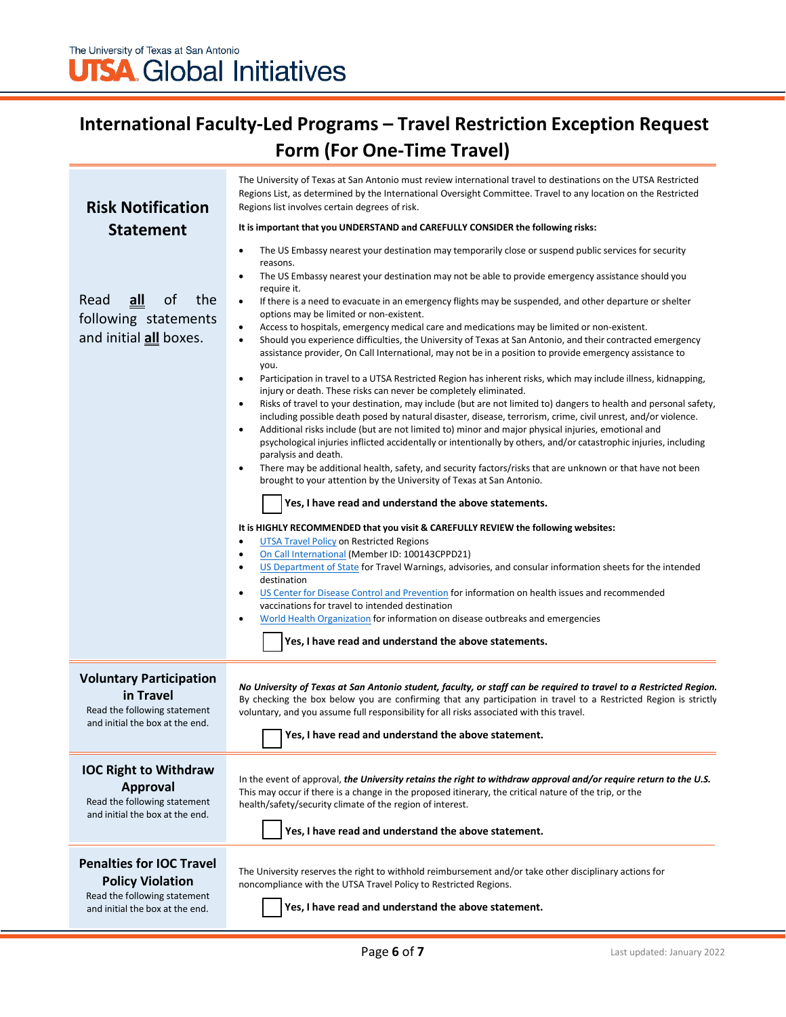## **International Faculty-Led Programs – Travel Restriction Exception Request Form (For One-Time Travel)**

| <b>Risk Notification</b>                                                                                                      | The University of Texas at San Antonio must review international travel to destinations on the UTSA Restricted<br>Regions List, as determined by the International Oversight Committee. Travel to any location on the Restricted<br>Regions list involves certain degrees of risk.                                                                                                                                                                                                                                                                                                                                                                                                                                                                                                                                                                                                                                                                                                                                                                                                                                                                                                                                                                                                                                                                                                                                                                                                                                                                                                                                                                                                                                                                                                                                                                                                                                                                                                                                                                                                                                                                                                                                                                                                                                             |  |  |  |
|-------------------------------------------------------------------------------------------------------------------------------|--------------------------------------------------------------------------------------------------------------------------------------------------------------------------------------------------------------------------------------------------------------------------------------------------------------------------------------------------------------------------------------------------------------------------------------------------------------------------------------------------------------------------------------------------------------------------------------------------------------------------------------------------------------------------------------------------------------------------------------------------------------------------------------------------------------------------------------------------------------------------------------------------------------------------------------------------------------------------------------------------------------------------------------------------------------------------------------------------------------------------------------------------------------------------------------------------------------------------------------------------------------------------------------------------------------------------------------------------------------------------------------------------------------------------------------------------------------------------------------------------------------------------------------------------------------------------------------------------------------------------------------------------------------------------------------------------------------------------------------------------------------------------------------------------------------------------------------------------------------------------------------------------------------------------------------------------------------------------------------------------------------------------------------------------------------------------------------------------------------------------------------------------------------------------------------------------------------------------------------------------------------------------------------------------------------------------------|--|--|--|
| <b>Statement</b>                                                                                                              | It is important that you UNDERSTAND and CAREFULLY CONSIDER the following risks:                                                                                                                                                                                                                                                                                                                                                                                                                                                                                                                                                                                                                                                                                                                                                                                                                                                                                                                                                                                                                                                                                                                                                                                                                                                                                                                                                                                                                                                                                                                                                                                                                                                                                                                                                                                                                                                                                                                                                                                                                                                                                                                                                                                                                                                |  |  |  |
|                                                                                                                               | The US Embassy nearest your destination may temporarily close or suspend public services for security<br>$\bullet$                                                                                                                                                                                                                                                                                                                                                                                                                                                                                                                                                                                                                                                                                                                                                                                                                                                                                                                                                                                                                                                                                                                                                                                                                                                                                                                                                                                                                                                                                                                                                                                                                                                                                                                                                                                                                                                                                                                                                                                                                                                                                                                                                                                                             |  |  |  |
| the<br>Read<br>$all$<br>of<br>following statements<br>and initial all boxes.                                                  | reasons.<br>The US Embassy nearest your destination may not be able to provide emergency assistance should you<br>$\bullet$<br>require it.<br>If there is a need to evacuate in an emergency flights may be suspended, and other departure or shelter<br>$\bullet$<br>options may be limited or non-existent.<br>Access to hospitals, emergency medical care and medications may be limited or non-existent.<br>$\bullet$<br>Should you experience difficulties, the University of Texas at San Antonio, and their contracted emergency<br>$\bullet$<br>assistance provider, On Call International, may not be in a position to provide emergency assistance to<br>you.<br>Participation in travel to a UTSA Restricted Region has inherent risks, which may include illness, kidnapping,<br>$\bullet$<br>injury or death. These risks can never be completely eliminated.<br>Risks of travel to your destination, may include (but are not limited to) dangers to health and personal safety,<br>$\bullet$<br>including possible death posed by natural disaster, disease, terrorism, crime, civil unrest, and/or violence.<br>Additional risks include (but are not limited to) minor and major physical injuries, emotional and<br>$\bullet$<br>psychological injuries inflicted accidentally or intentionally by others, and/or catastrophic injuries, including<br>paralysis and death.<br>There may be additional health, safety, and security factors/risks that are unknown or that have not been<br>$\bullet$<br>brought to your attention by the University of Texas at San Antonio.<br>Yes, I have read and understand the above statements.<br>It is HIGHLY RECOMMENDED that you visit & CAREFULLY REVIEW the following websites:<br><b>UTSA Travel Policy on Restricted Regions</b><br>$\bullet$<br>On Call International (Member ID: 100143CPPD21)<br>٠<br>US Department of State for Travel Warnings, advisories, and consular information sheets for the intended<br>$\bullet$<br>destination<br>US Center for Disease Control and Prevention for information on health issues and recommended<br>٠<br>vaccinations for travel to intended destination<br>World Health Organization for information on disease outbreaks and emergencies<br>$\bullet$<br>Yes, I have read and understand the above statements. |  |  |  |
| <b>Voluntary Participation</b>                                                                                                |                                                                                                                                                                                                                                                                                                                                                                                                                                                                                                                                                                                                                                                                                                                                                                                                                                                                                                                                                                                                                                                                                                                                                                                                                                                                                                                                                                                                                                                                                                                                                                                                                                                                                                                                                                                                                                                                                                                                                                                                                                                                                                                                                                                                                                                                                                                                |  |  |  |
| in Travel<br>Read the following statement<br>and initial the box at the end.                                                  | No University of Texas at San Antonio student, faculty, or staff can be required to travel to a Restricted Region.<br>By checking the box below you are confirming that any participation in travel to a Restricted Region is strictly<br>voluntary, and you assume full responsibility for all risks associated with this travel.<br>Yes, I have read and understand the above statement.                                                                                                                                                                                                                                                                                                                                                                                                                                                                                                                                                                                                                                                                                                                                                                                                                                                                                                                                                                                                                                                                                                                                                                                                                                                                                                                                                                                                                                                                                                                                                                                                                                                                                                                                                                                                                                                                                                                                     |  |  |  |
|                                                                                                                               |                                                                                                                                                                                                                                                                                                                                                                                                                                                                                                                                                                                                                                                                                                                                                                                                                                                                                                                                                                                                                                                                                                                                                                                                                                                                                                                                                                                                                                                                                                                                                                                                                                                                                                                                                                                                                                                                                                                                                                                                                                                                                                                                                                                                                                                                                                                                |  |  |  |
| <b>IOC Right to Withdraw</b><br><b>Approval</b><br>Read the following statement<br>and initial the box at the end.            | In the event of approval, the University retains the right to withdraw approval and/or require return to the U.S.<br>This may occur if there is a change in the proposed itinerary, the critical nature of the trip, or the<br>health/safety/security climate of the region of interest.<br>Yes, I have read and understand the above statement.                                                                                                                                                                                                                                                                                                                                                                                                                                                                                                                                                                                                                                                                                                                                                                                                                                                                                                                                                                                                                                                                                                                                                                                                                                                                                                                                                                                                                                                                                                                                                                                                                                                                                                                                                                                                                                                                                                                                                                               |  |  |  |
| <b>Penalties for IOC Travel</b><br><b>Policy Violation</b><br>Read the following statement<br>and initial the box at the end. | The University reserves the right to withhold reimbursement and/or take other disciplinary actions for<br>noncompliance with the UTSA Travel Policy to Restricted Regions.<br>Yes, I have read and understand the above statement.                                                                                                                                                                                                                                                                                                                                                                                                                                                                                                                                                                                                                                                                                                                                                                                                                                                                                                                                                                                                                                                                                                                                                                                                                                                                                                                                                                                                                                                                                                                                                                                                                                                                                                                                                                                                                                                                                                                                                                                                                                                                                             |  |  |  |